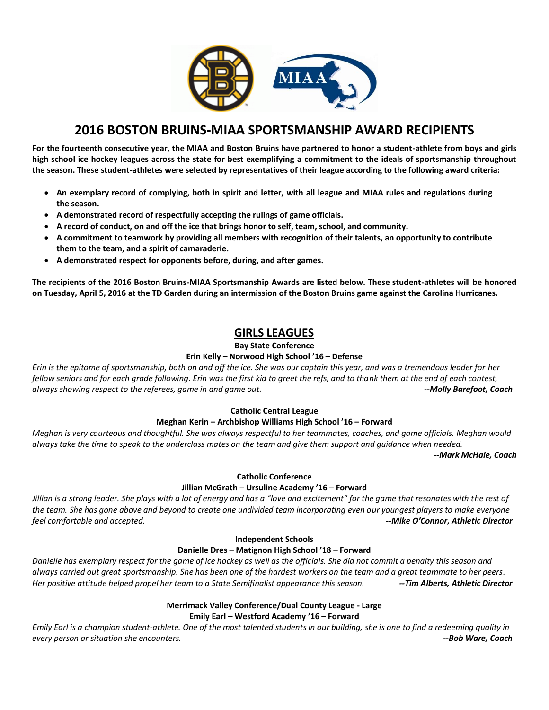

# **2016 BOSTON BRUINS-MIAA SPORTSMANSHIP AWARD RECIPIENTS**

**For the fourteenth consecutive year, the MIAA and Boston Bruins have partnered to honor a student-athlete from boys and girls high school ice hockey leagues across the state for best exemplifying a commitment to the ideals of sportsmanship throughout the season. These student-athletes were selected by representatives of their league according to the following award criteria:** 

- **An exemplary record of complying, both in spirit and letter, with all league and MIAA rules and regulations during the season.**
- **A demonstrated record of respectfully accepting the rulings of game officials.**
- **A record of conduct, on and off the ice that brings honor to self, team, school, and community.**
- **A commitment to teamwork by providing all members with recognition of their talents, an opportunity to contribute them to the team, and a spirit of camaraderie.**
- **A demonstrated respect for opponents before, during, and after games.**

**The recipients of the 2016 Boston Bruins-MIAA Sportsmanship Awards are listed below. These student-athletes will be honored on Tuesday, April 5, 2016 at the TD Garden during an intermission of the Boston Bruins game against the Carolina Hurricanes.** 

# **GIRLS LEAGUES**

## **Bay State Conference**

## **Erin Kelly – Norwood High School '16 – Defense**

*Erin is the epitome of sportsmanship, both on and off the ice. She was our captain this year, and was a tremendous leader for her fellow seniors and for each grade following. Erin was the first kid to greet the refs, and to thank them at the end of each contest, always showing respect to the referees, game in and game out. --Molly Barefoot, Coach*

## **Catholic Central League**

# **Meghan Kerin – Archbishop Williams High School '16 – Forward**

*Meghan is very courteous and thoughtful. She was always respectful to her teammates, coaches, and game officials. Meghan would always take the time to speak to the underclass mates on the team and give them support and guidance when needed.* 

*--Mark McHale, Coach*

# **Catholic Conference**

## **Jillian McGrath – Ursuline Academy '16 – Forward**

*Jillian is a strong leader. She plays with a lot of energy and has a "love and excitement" for the game that resonates with the rest of the team. She has gone above and beyond to create one undivided team incorporating even our youngest players to make everyone feel comfortable and accepted. --Mike O'Connor, Athletic Director*

## **Independent Schools**

## **Danielle Dres – Matignon High School '18 – Forward**

*Danielle has exemplary respect for the game of ice hockey as well as the officials. She did not commit a penalty this season and always carried out great sportsmanship. She has been one of the hardest workers on the team and a great teammate to her peers. Her positive attitude helped propel her team to a State Semifinalist appearance this season. --Tim Alberts, Athletic Director*

## **Merrimack Valley Conference/Dual County League - Large Emily Earl – Westford Academy '16 – Forward**

*Emily Earl is a champion student-athlete. One of the most talented students in our building, she is one to find a redeeming quality in every person or situation she encounters. --Bob Ware, Coach*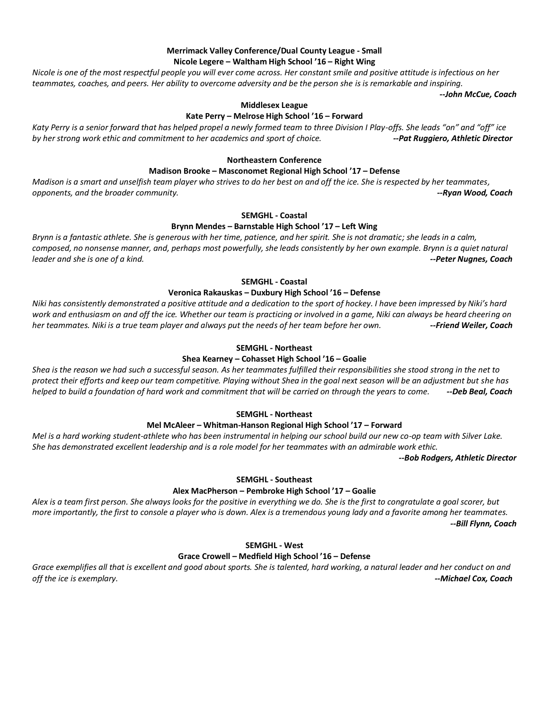## **Merrimack Valley Conference/Dual County League - Small Nicole Legere – Waltham High School '16 – Right Wing**

*Nicole is one of the most respectful people you will ever come across. Her constant smile and positive attitude is infectious on her teammates, coaches, and peers. Her ability to overcome adversity and be the person she is is remarkable and inspiring.* 

*--John McCue, Coach*

## **Middlesex League**

## **Kate Perry – Melrose High School '16 – Forward**

*Katy Perry is a senior forward that has helped propel a newly formed team to three Division I Play-offs. She leads "on" and "off" ice by her strong work ethic and commitment to her academics and sport of choice. --Pat Ruggiero, Athletic Director*

### **Northeastern Conference**

### **Madison Brooke – Masconomet Regional High School '17 – Defense**

*Madison is a smart and unselfish team player who strives to do her best on and off the ice. She is respected by her teammates, opponents, and the broader community. --Ryan Wood, Coach*

### **SEMGHL - Coastal**

### **Brynn Mendes – Barnstable High School '17 – Left Wing**

*Brynn is a fantastic athlete. She is generous with her time, patience, and her spirit. She is not dramatic; she leads in a calm, composed, no nonsense manner, and, perhaps most powerfully, she leads consistently by her own example. Brynn is a quiet natural leader and she is one of a kind. --Peter Nugnes, Coach*

**SEMGHL - Coastal**

### **Veronica Rakauskas – Duxbury High School '16 – Defense**

*Niki has consistently demonstrated a positive attitude and a dedication to the sport of hockey. I have been impressed by Niki's hard work and enthusiasm on and off the ice. Whether our team is practicing or involved in a game, Niki can always be heard cheering on her teammates. Niki is a true team player and always put the needs of her team before her own. --Friend Weiler, Coach*

### **SEMGHL - Northeast**

### **Shea Kearney – Cohasset High School '16 – Goalie**

*Shea is the reason we had such a successful season. As her teammates fulfilled their responsibilities she stood strong in the net to protect their efforts and keep our team competitive. Playing without Shea in the goal next season will be an adjustment but she has helped to build a foundation of hard work and commitment that will be carried on through the years to come. --Deb Beal, Coach*

### **SEMGHL - Northeast**

### **Mel McAleer – Whitman-Hanson Regional High School '17 – Forward**

*Mel is a hard working student-athlete who has been instrumental in helping our school build our new co-op team with Silver Lake. She has demonstrated excellent leadership and is a role model for her teammates with an admirable work ethic.*

*--Bob Rodgers, Athletic Director*

### **SEMGHL - Southeast**

### **Alex MacPherson – Pembroke High School '17 – Goalie**

*Alex is a team first person. She always looks for the positive in everything we do. She is the first to congratulate a goal scorer, but more importantly, the first to console a player who is down. Alex is a tremendous young lady and a favorite among her teammates. --Bill Flynn, Coach*

### **SEMGHL - West**

### **Grace Crowell – Medfield High School '16 – Defense**

Grace exemplifies all that is excellent and good about sports. She is talented, hard working, a natural leader and her conduct on and *off the ice is exemplary. --Michael Cox, Coach*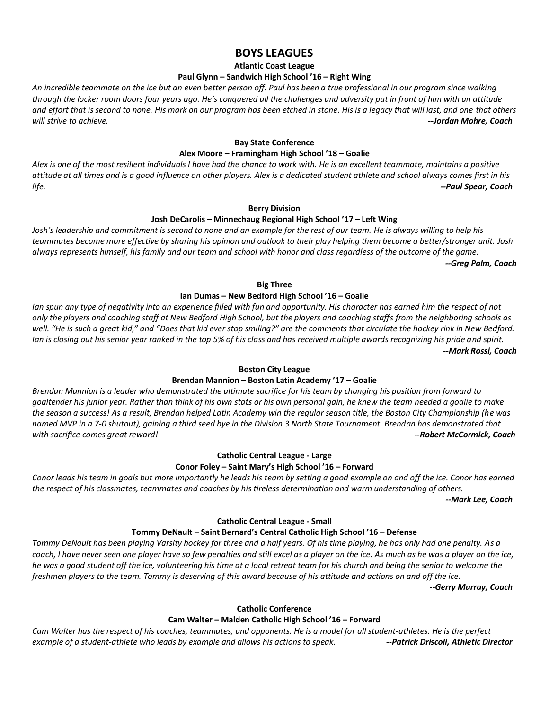# **BOYS LEAGUES**

**Atlantic Coast League**

## **Paul Glynn – Sandwich High School '16 – Right Wing**

*An incredible teammate on the ice but an even better person off. Paul has been a true professional in our program since walking through the locker room doors four years ago. He's conquered all the challenges and adversity put in front of him with an attitude and effort that is second to none. His mark on our program has been etched in stone. His is a legacy that will last, and one that others will strive to achieve. --Jordan Mohre, Coach*

### **Bay State Conference**

## **Alex Moore – Framingham High School '18 – Goalie**

*Alex is one of the most resilient individuals I have had the chance to work with. He is an excellent teammate, maintains a positive attitude at all times and is a good influence on other players. Alex is a dedicated student athlete and school always comes first in his life. --Paul Spear, Coach*

### **Berry Division**

## **Josh DeCarolis – Minnechaug Regional High School '17 – Left Wing**

*Josh's leadership and commitment is second to none and an example for the rest of our team. He is always willing to help his teammates become more effective by sharing his opinion and outlook to their play helping them become a better/stronger unit. Josh always represents himself, his family and our team and school with honor and class regardless of the outcome of the game. --Greg Palm, Coach*

# **Big Three**

## **Ian Dumas – New Bedford High School '16 – Goalie**

*Ian spun any type of negativity into an experience filled with fun and opportunity. His character has earned him the respect of not only the players and coaching staff at New Bedford High School, but the players and coaching staffs from the neighboring schools as well. "He is such a great kid," and "Does that kid ever stop smiling?" are the comments that circulate the hockey rink in New Bedford. Ian is closing out his senior year ranked in the top 5% of his class and has received multiple awards recognizing his pride and spirit. --Mark Rossi, Coach*

## **Boston City League**

## **Brendan Mannion – Boston Latin Academy '17 – Goalie**

*Brendan Mannion is a leader who demonstrated the ultimate sacrifice for his team by changing his position from forward to goaltender his junior year. Rather than think of his own stats or his own personal gain, he knew the team needed a goalie to make the season a success! As a result, Brendan helped Latin Academy win the regular season title, the Boston City Championship (he was named MVP in a 7-0 shutout), gaining a third seed bye in the Division 3 North State Tournament. Brendan has demonstrated that with sacrifice comes great reward! --Robert McCormick, Coach*

# **Catholic Central League - Large**

### **Conor Foley – Saint Mary's High School '16 – Forward**

*Conor leads his team in goals but more importantly he leads his team by setting a good example on and off the ice. Conor has earned the respect of his classmates, teammates and coaches by his tireless determination and warm understanding of others.*

*--Mark Lee, Coach*

## **Catholic Central League - Small**

## **Tommy DeNault – Saint Bernard's Central Catholic High School '16 – Defense**

*Tommy DeNault has been playing Varsity hockey for three and a half years. Of his time playing, he has only had one penalty. As a coach, I have never seen one player have so few penalties and still excel as a player on the ice. As much as he was a player on the ice, he was a good student off the ice, volunteering his time at a local retreat team for his church and being the senior to welcome the freshmen players to the team. Tommy is deserving of this award because of his attitude and actions on and off the ice.* 

*--Gerry Murray, Coach*

## **Catholic Conference**

## **Cam Walter – Malden Catholic High School '16 – Forward**

*Cam Walter has the respect of his coaches, teammates, and opponents. He is a model for all student-athletes. He is the perfect example of a student-athlete who leads by example and allows his actions to speak. --Patrick Driscoll, Athletic Director*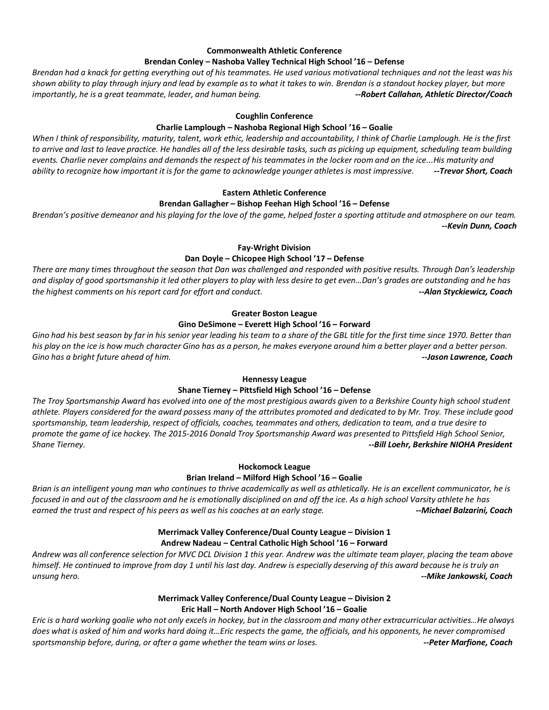## **Commonwealth Athletic Conference**

### **Brendan Conley – Nashoba Valley Technical High School '16 – Defense**

*Brendan had a knack for getting everything out of his teammates. He used various motivational techniques and not the least was his shown ability to play through injury and lead by example as to what it takes to win. Brendan is a standout hockey player, but more importantly, he is a great teammate, leader, and human being. --Robert Callahan, Athletic Director/Coach* 

### **Coughlin Conference**

### **Charlie Lamplough – Nashoba Regional High School '16 – Goalie**

*When I think of responsibility, maturity, talent, work ethic, leadership and accountability, I think of Charlie Lamplough. He is the first*  to arrive and last to leave practice. He handles all of the less desirable tasks, such as picking up equipment, scheduling team building *events. Charlie never complains and demands the respect of his teammates in the locker room and on the ice...His maturity and ability to recognize how important it is for the game to acknowledge younger athletes is most impressive. --Trevor Short, Coach*

## **Eastern Athletic Conference**

### **Brendan Gallagher – Bishop Feehan High School '16 – Defense**

*Brendan's positive demeanor and his playing for the love of the game, helped foster a sporting attitude and atmosphere on our team. --Kevin Dunn, Coach*

### **Fay-Wright Division**

### **Dan Doyle – Chicopee High School '17 – Defense**

*There are many times throughout the season that Dan was challenged and responded with positive results. Through Dan's leadership and display of good sportsmanship it led other players to play with less desire to get even…Dan's grades are outstanding and he has the highest comments on his report card for effort and conduct. --Alan Styckiewicz, Coach*

### **Greater Boston League**

### **Gino DeSimone – Everett High School '16 – Forward**

*Gino had his best season by far in his senior year leading his team to a share of the GBL title for the first time since 1970. Better than his play on the ice is how much character Gino has as a person, he makes everyone around him a better player and a better person. Gino has a bright future ahead of him. --Jason Lawrence, Coach*

## **Hennessy League**

### **Shane Tierney – Pittsfield High School '16 – Defense**

*The Troy Sportsmanship Award has evolved into one of the most prestigious awards given to a Berkshire County high school student athlete. Players considered for the award possess many of the attributes promoted and dedicated to by Mr. Troy. These include good sportsmanship, team leadership, respect of officials, coaches, teammates and others, dedication to team, and a true desire to promote the game of ice hockey. The 2015-2016 Donald Troy Sportsmanship Award was presented to Pittsfield High School Senior, Shane Tierney. --Bill Loehr, Berkshire NIOHA President*

### **Hockomock League**

### **Brian Ireland – Milford High School '16 – Goalie**

*Brian is an intelligent young man who continues to thrive academically as well as athletically. He is an excellent communicator, he is focused in and out of the classroom and he is emotionally disciplined on and off the ice. As a high school Varsity athlete he has*  earned the trust and respect of his peers as well as his coaches at an early stage. **All and the stage areas are a**<br>--Michael Balzarini, Coach

## **Merrimack Valley Conference/Dual County League – Division 1 Andrew Nadeau – Central Catholic High School '16 – Forward**

*Andrew was all conference selection for MVC DCL Division 1 this year. Andrew was the ultimate team player, placing the team above himself. He continued to improve from day 1 until his last day. Andrew is especially deserving of this award because he is truly an unsung hero. --Mike Jankowski, Coach*

# **Merrimack Valley Conference/Dual County League – Division 2 Eric Hall – North Andover High School '16 – Goalie**

*Eric is a hard working goalie who not only excels in hockey, but in the classroom and many other extracurricular activities…He always does what is asked of him and works hard doing it…Eric respects the game, the officials, and his opponents, he never compromised sportsmanship before, during, or after a game whether the team wins or loses. --Peter Marfione, Coach*